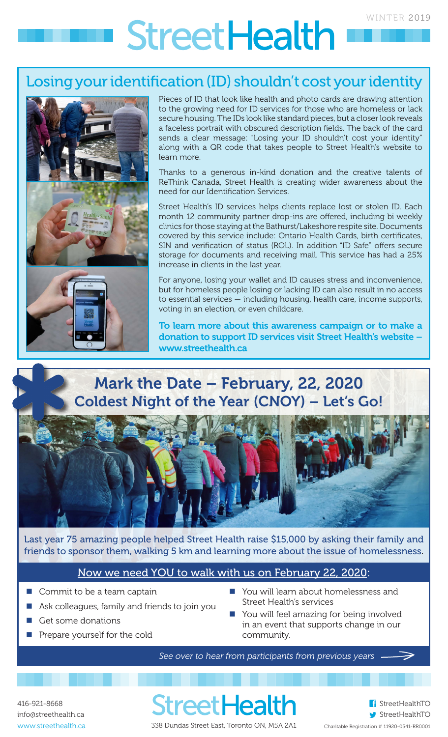# **StreetHealth**

### Losing your identification (ID) shouldn't cost your identity



Pieces of ID that look like health and photo cards are drawing attention to the growing need for ID services for those who are homeless or lack secure housing. The IDs look like standard pieces, but a closer look reveals a faceless portrait with obscured description fields. The back of the card sends a clear message: "Losing your ID shouldn't cost your identity" along with a QR code that takes people to Street Health's website to learn more.

Thanks to a generous in-kind donation and the creative talents of ReThink Canada, Street Health is creating wider awareness about the need for our Identification Services.

Street Health's ID services helps clients replace lost or stolen ID. Each month 12 community partner drop-ins are offered, including bi weekly clinics for those staying at the Bathurst/Lakeshore respite site. Documents covered by this service include: Ontario Health Cards, birth certificates, SIN and verification of status (ROL). In addition "ID Safe" offers secure storage for documents and receiving mail. This service has had a 25% increase in clients in the last year.

For anyone, losing your wallet and ID causes stress and inconvenience, but for homeless people losing or lacking ID can also result in no access to essential services — including housing, health care, income supports, voting in an election, or even childcare.

To learn more about this awareness campaign or to make a donation to support ID services visit Street Health's website – www.streethealth.ca

# Mark the Date – February, 22, 2020 Coldest Night of the Year (CNOY) - Let's Go!



Last year 75 amazing people helped Street Health raise \$15,000 by asking their family and friends to sponsor them, walking 5 km and learning more about the issue of homelessness.

#### Now we need YOU to walk with us on February 22, 2020:

- Commit to be a team captain
- Ask colleagues, family and friends to join you
- Get some donations
- Prepare yourself for the cold
- You will learn about homelessness and Street Health's services
- You will feel amazing for being involved in an event that supports change in our community.

*See over to hear from participants from previous years* 

416-921-8668 info@streethealth.ca www.streethealth.ca

**StreetHealth** 338 Dundas Street East, Toronto ON, M5A 2A1



StreetHealthTO